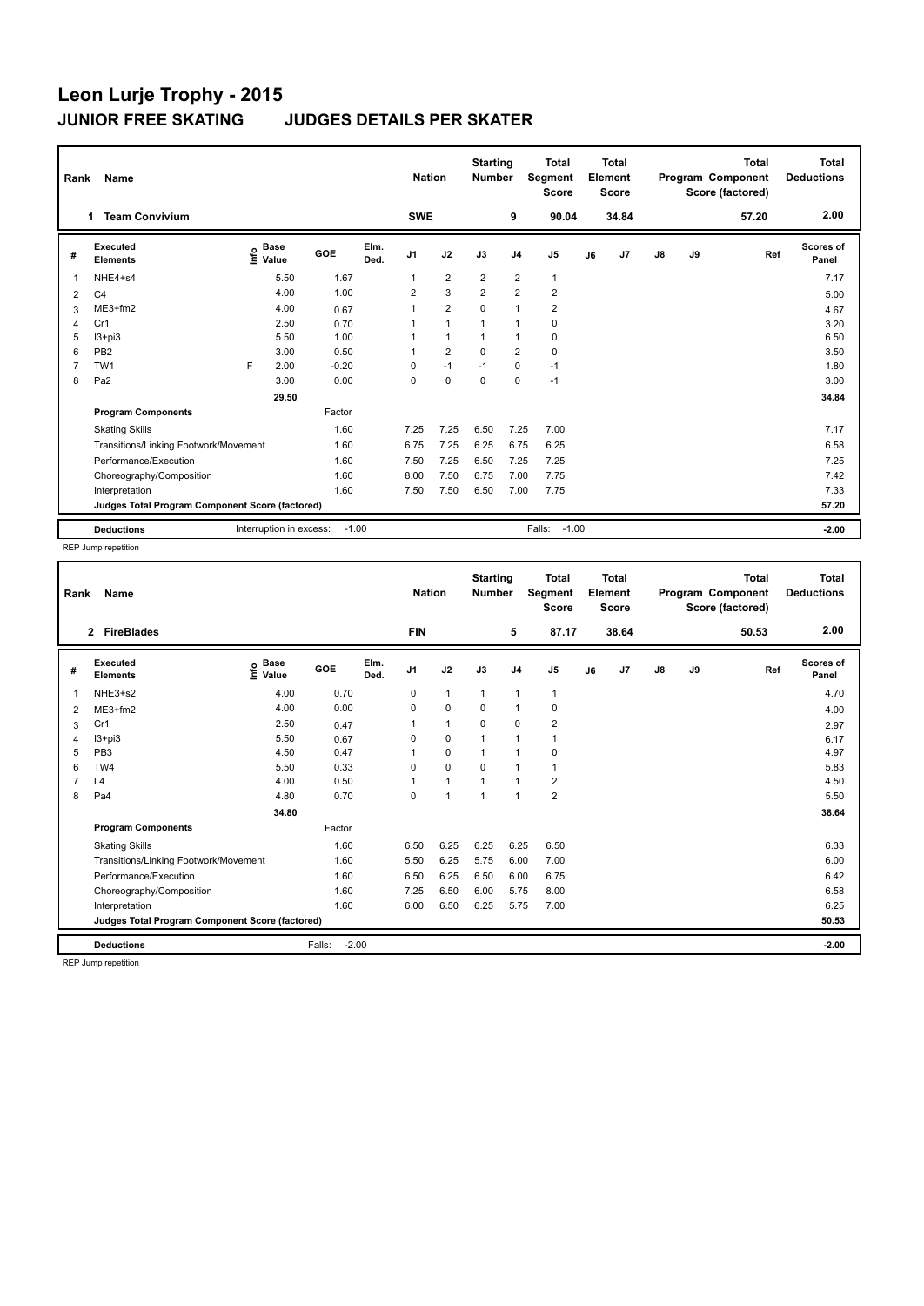|                | Name<br>Rank                                    |         |                      |         |              |                |                   | <b>Starting</b><br><b>Nation</b><br><b>Number</b> |                | <b>Total</b><br><b>Segment</b><br><b>Score</b> |    | <b>Total</b><br>Element<br><b>Score</b> |               |    | Total<br>Program Component<br>Score (factored) | Total<br><b>Deductions</b> |
|----------------|-------------------------------------------------|---------|----------------------|---------|--------------|----------------|-------------------|---------------------------------------------------|----------------|------------------------------------------------|----|-----------------------------------------|---------------|----|------------------------------------------------|----------------------------|
|                | <b>Team Convivium</b><br>1.                     |         |                      |         |              | <b>SWE</b>     |                   |                                                   | 9              | 90.04                                          |    | 34.84                                   |               |    | 57.20                                          | 2.00                       |
| #              | Executed<br><b>Elements</b>                     | ١nf٥    | <b>Base</b><br>Value | GOE     | Elm.<br>Ded. | J <sub>1</sub> | J2                | J3                                                | J <sub>4</sub> | J <sub>5</sub>                                 | J6 | J <sub>7</sub>                          | $\mathsf{J}8$ | J9 | Ref                                            | Scores of<br>Panel         |
| $\mathbf{1}$   | NHE4+s4                                         |         | 5.50                 | 1.67    |              | $\mathbf{1}$   | $\overline{2}$    | $\overline{2}$                                    | $\overline{2}$ | $\mathbf{1}$                                   |    |                                         |               |    |                                                | 7.17                       |
| 2              | C <sub>4</sub>                                  |         | 4.00                 | 1.00    |              | $\overline{2}$ | 3                 | $\overline{2}$                                    | $\overline{2}$ | $\overline{\mathbf{c}}$                        |    |                                         |               |    |                                                | 5.00                       |
| 3              | ME3+fm2                                         |         | 4.00                 | 0.67    |              | 1              | $\overline{2}$    | $\mathbf 0$                                       | $\mathbf{1}$   | $\overline{2}$                                 |    |                                         |               |    |                                                | 4.67                       |
| $\overline{4}$ | Cr1                                             |         | 2.50                 | 0.70    |              |                | $\mathbf{1}$      |                                                   | $\mathbf{1}$   | 0                                              |    |                                         |               |    |                                                | 3.20                       |
| 5              | $13 + pi3$                                      |         | 5.50                 | 1.00    |              |                | $\mathbf{1}$      |                                                   | $\mathbf{1}$   | 0                                              |    |                                         |               |    |                                                | 6.50                       |
| 6              | PB <sub>2</sub>                                 |         | 3.00                 | 0.50    |              |                | $\overline{2}$    | $\mathbf 0$                                       | $\overline{2}$ | $\pmb{0}$                                      |    |                                         |               |    |                                                | 3.50                       |
| $\overline{7}$ | TW <sub>1</sub>                                 | F       | 2.00                 | $-0.20$ |              | 0              | $-1$              | $-1$                                              | $\mathbf 0$    | $-1$                                           |    |                                         |               |    |                                                | 1.80                       |
| 8              | Pa <sub>2</sub>                                 |         | 3.00                 | 0.00    |              | $\Omega$       | $\mathbf 0$       | $\Omega$                                          | $\mathbf 0$    | $-1$                                           |    |                                         |               |    |                                                | 3.00                       |
|                |                                                 |         | 29.50                |         |              |                |                   |                                                   |                |                                                |    |                                         |               |    |                                                | 34.84                      |
|                | <b>Program Components</b>                       |         |                      | Factor  |              |                |                   |                                                   |                |                                                |    |                                         |               |    |                                                |                            |
|                | <b>Skating Skills</b>                           |         |                      | 1.60    |              | 7.25           | 7.25              | 6.50                                              | 7.25           | 7.00                                           |    |                                         |               |    |                                                | 7.17                       |
|                | Transitions/Linking Footwork/Movement           |         |                      | 1.60    |              | 6.75           | 7.25              | 6.25                                              | 6.75           | 6.25                                           |    |                                         |               |    |                                                | 6.58                       |
|                | Performance/Execution                           |         |                      | 1.60    |              | 7.50           | 7.25              | 6.50                                              | 7.25           | 7.25                                           |    |                                         |               |    |                                                | 7.25                       |
|                | Choreography/Composition                        |         |                      | 1.60    |              | 8.00           | 7.50              | 6.75                                              | 7.00           | 7.75                                           |    |                                         |               |    |                                                | 7.42                       |
|                | Interpretation                                  |         |                      | 1.60    |              | 7.50           | 7.50              | 6.50                                              | 7.00           | 7.75                                           |    |                                         |               |    |                                                | 7.33                       |
|                | Judges Total Program Component Score (factored) |         |                      |         |              |                |                   |                                                   |                |                                                |    |                                         |               |    |                                                | 57.20                      |
|                | <b>Deductions</b>                               | $-1.00$ |                      |         |              |                | Falls:<br>$-1.00$ |                                                   |                |                                                |    |                                         | $-2.00$       |    |                                                |                            |

REP Jump repetition

| Rank | <b>Name</b>                                     |                                  |                   |              | <b>Starting</b><br><b>Nation</b><br><b>Number</b> |                | <b>Total</b><br>Segment<br><b>Score</b> |                | <b>Total</b><br>Element<br><b>Score</b> |    |       | <b>Total</b><br>Program Component<br>Score (factored) | <b>Total</b><br><b>Deductions</b> |       |                           |
|------|-------------------------------------------------|----------------------------------|-------------------|--------------|---------------------------------------------------|----------------|-----------------------------------------|----------------|-----------------------------------------|----|-------|-------------------------------------------------------|-----------------------------------|-------|---------------------------|
|      | 2 FireBlades                                    |                                  |                   |              | <b>FIN</b>                                        |                |                                         | 5              | 87.17                                   |    | 38.64 |                                                       |                                   | 50.53 | 2.00                      |
| #    | Executed<br><b>Elements</b>                     | <b>Base</b><br>e Base<br>⊆ Value | GOE               | Elm.<br>Ded. | J <sub>1</sub>                                    | J2             | J3                                      | J <sub>4</sub> | J <sub>5</sub>                          | J6 | J7    | $\mathsf{J}8$                                         | J9                                | Ref   | <b>Scores of</b><br>Panel |
| -1   | NHE3+s2                                         | 4.00                             | 0.70              |              | 0                                                 | $\mathbf{1}$   | $\mathbf{1}$                            | $\mathbf{1}$   | $\mathbf{1}$                            |    |       |                                                       |                                   |       | 4.70                      |
| 2    | ME3+fm2                                         | 4.00                             | 0.00              |              | 0                                                 | $\mathbf 0$    | $\Omega$                                | $\mathbf{1}$   | 0                                       |    |       |                                                       |                                   |       | 4.00                      |
| 3    | Cr1                                             | 2.50                             | 0.47              |              |                                                   | $\mathbf{1}$   | $\mathbf 0$                             | $\mathbf 0$    | $\overline{\mathbf{c}}$                 |    |       |                                                       |                                   |       | 2.97                      |
| 4    | $13 + pi3$                                      | 5.50                             | 0.67              |              | 0                                                 | $\mathbf 0$    | 1                                       | $\mathbf{1}$   | $\mathbf{1}$                            |    |       |                                                       |                                   |       | 6.17                      |
| 5    | PB <sub>3</sub>                                 | 4.50                             | 0.47              |              |                                                   | $\mathbf 0$    | $\mathbf{1}$                            | $\mathbf{1}$   | 0                                       |    |       |                                                       |                                   |       | 4.97                      |
| 6    | TW4                                             | 5.50                             | 0.33              |              | 0                                                 | $\mathbf 0$    | $\Omega$                                | $\mathbf{1}$   | $\overline{1}$                          |    |       |                                                       |                                   |       | 5.83                      |
|      | L4                                              | 4.00                             | 0.50              |              |                                                   | $\mathbf{1}$   | $\overline{1}$                          | $\overline{1}$ | $\overline{\mathbf{c}}$                 |    |       |                                                       |                                   |       | 4.50                      |
| 8    | Pa <sub>4</sub>                                 | 4.80                             | 0.70              |              | 0                                                 | $\overline{1}$ | $\mathbf{1}$                            | $\overline{1}$ | $\overline{2}$                          |    |       |                                                       |                                   |       | 5.50                      |
|      |                                                 | 34.80                            |                   |              |                                                   |                |                                         |                |                                         |    |       |                                                       |                                   |       | 38.64                     |
|      | <b>Program Components</b>                       |                                  | Factor            |              |                                                   |                |                                         |                |                                         |    |       |                                                       |                                   |       |                           |
|      | <b>Skating Skills</b>                           |                                  | 1.60              |              | 6.50                                              | 6.25           | 6.25                                    | 6.25           | 6.50                                    |    |       |                                                       |                                   |       | 6.33                      |
|      | Transitions/Linking Footwork/Movement           |                                  | 1.60              |              | 5.50                                              | 6.25           | 5.75                                    | 6.00           | 7.00                                    |    |       |                                                       |                                   |       | 6.00                      |
|      | Performance/Execution                           |                                  | 1.60              |              | 6.50                                              | 6.25           | 6.50                                    | 6.00           | 6.75                                    |    |       |                                                       |                                   |       | 6.42                      |
|      | Choreography/Composition                        |                                  | 1.60              |              | 7.25                                              | 6.50           | 6.00                                    | 5.75           | 8.00                                    |    |       |                                                       |                                   |       | 6.58                      |
|      | Interpretation                                  |                                  | 1.60              |              | 6.00                                              | 6.50           | 6.25                                    | 5.75           | 7.00                                    |    |       |                                                       |                                   |       | 6.25                      |
|      | Judges Total Program Component Score (factored) |                                  |                   |              |                                                   |                |                                         |                |                                         |    |       |                                                       |                                   |       | 50.53                     |
|      | <b>Deductions</b>                               |                                  | $-2.00$<br>Falls: |              |                                                   |                |                                         |                |                                         |    |       |                                                       |                                   |       | $-2.00$                   |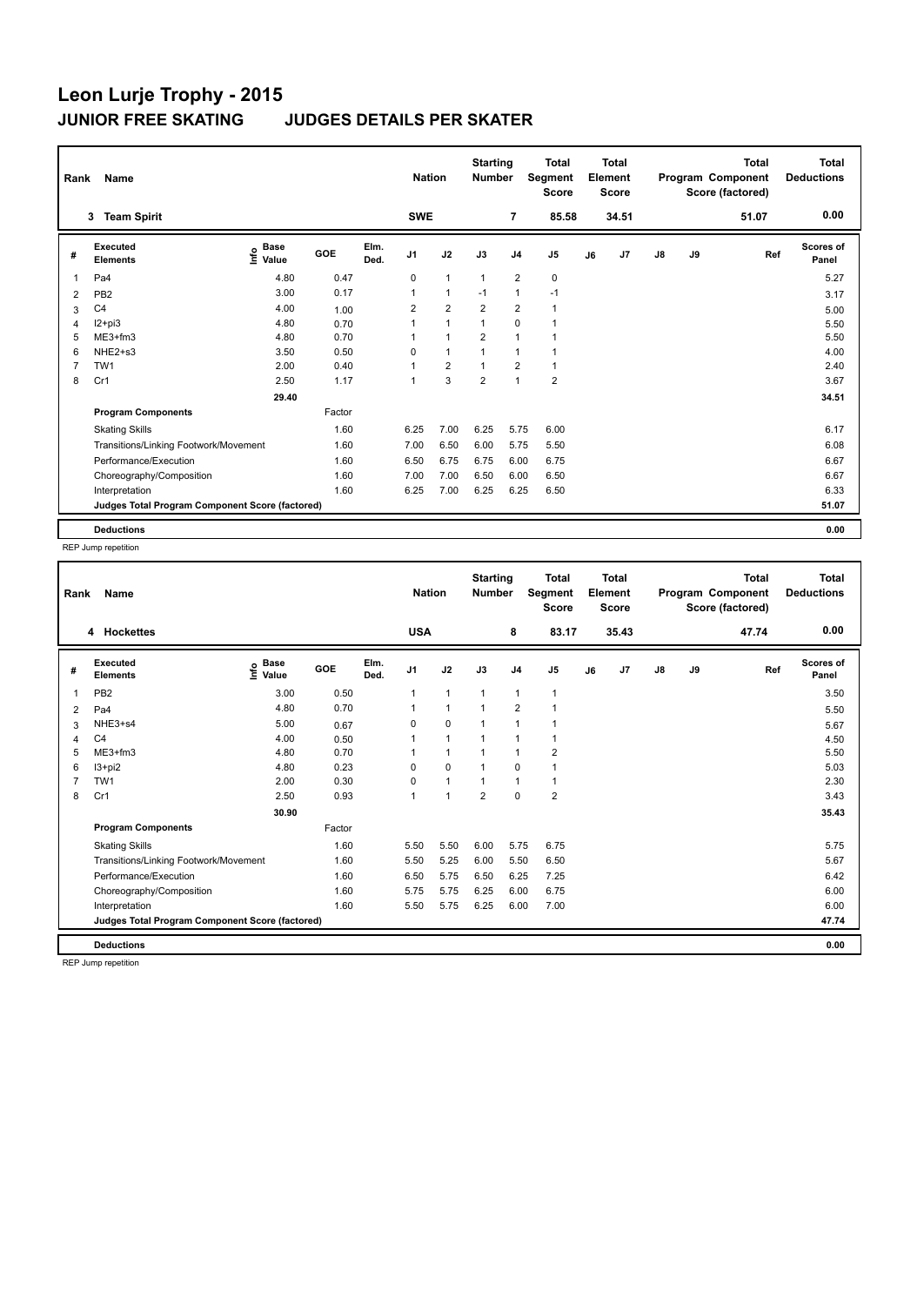# **Leon Lurje Trophy - 2015 JUDGES DETAILS PER SKATER**

|                | <b>Name</b><br>Rank                             |                                                        |        |              | <b>Nation</b>  |                      | <b>Starting</b><br><b>Number</b> |                | <b>Total</b><br>Segment<br><b>Score</b> |    | <b>Total</b><br>Element<br><b>Score</b> |               |    | <b>Total</b><br>Program Component<br>Score (factored) | <b>Total</b><br><b>Deductions</b> |
|----------------|-------------------------------------------------|--------------------------------------------------------|--------|--------------|----------------|----------------------|----------------------------------|----------------|-----------------------------------------|----|-----------------------------------------|---------------|----|-------------------------------------------------------|-----------------------------------|
|                | <b>Team Spirit</b><br>3                         |                                                        |        |              | <b>SWE</b>     |                      |                                  | $\overline{7}$ | 85.58                                   |    | 34.51                                   |               |    | 51.07                                                 | 0.00                              |
| #              | Executed<br><b>Elements</b>                     | <b>Base</b><br>$\mathop{\mathsf{I}}\nolimits$<br>Value | GOE    | Elm.<br>Ded. | J <sub>1</sub> | J2                   | J3                               | J <sub>4</sub> | J5                                      | J6 | J7                                      | $\mathsf{J}8$ | J9 | Ref                                                   | <b>Scores of</b><br>Panel         |
| $\overline{1}$ | Pa <sub>4</sub>                                 | 4.80                                                   | 0.47   |              | $\Omega$       | $\overline{1}$       | $\overline{1}$                   | $\overline{2}$ | $\mathbf 0$                             |    |                                         |               |    |                                                       | 5.27                              |
| $\overline{2}$ | PB <sub>2</sub>                                 | 3.00                                                   | 0.17   |              | $\overline{1}$ | $\overline{1}$       | $-1$                             | $\mathbf{1}$   | $-1$                                    |    |                                         |               |    |                                                       | 3.17                              |
| 3              | C <sub>4</sub>                                  | 4.00                                                   | 1.00   |              | $\overline{2}$ | $\overline{2}$       | $\overline{2}$                   | $\overline{2}$ | $\mathbf{1}$                            |    |                                         |               |    |                                                       | 5.00                              |
| $\overline{4}$ | $12+pi3$                                        | 4.80                                                   | 0.70   |              | 1              | $\overline{1}$       | $\mathbf{1}$                     | $\mathbf 0$    | $\blacktriangleleft$                    |    |                                         |               |    |                                                       | 5.50                              |
| 5              | $ME3+fm3$                                       | 4.80                                                   | 0.70   |              |                | $\overline{1}$       | $\overline{2}$                   | $\mathbf{1}$   | 1                                       |    |                                         |               |    |                                                       | 5.50                              |
| 6              | NHE2+s3                                         | 3.50                                                   | 0.50   |              | 0              | $\blacktriangleleft$ | $\overline{1}$                   | $\overline{1}$ | 1                                       |    |                                         |               |    |                                                       | 4.00                              |
| $\overline{7}$ | TW1                                             | 2.00                                                   | 0.40   |              | 1              | $\overline{2}$       | $\overline{1}$                   | $\overline{2}$ | 1                                       |    |                                         |               |    |                                                       | 2.40                              |
| 8              | Cr1                                             | 2.50                                                   | 1.17   |              | 1              | 3                    | $\overline{2}$                   | $\overline{1}$ | $\overline{2}$                          |    |                                         |               |    |                                                       | 3.67                              |
|                |                                                 | 29.40                                                  |        |              |                |                      |                                  |                |                                         |    |                                         |               |    |                                                       | 34.51                             |
|                | <b>Program Components</b>                       |                                                        | Factor |              |                |                      |                                  |                |                                         |    |                                         |               |    |                                                       |                                   |
|                | <b>Skating Skills</b>                           |                                                        | 1.60   |              | 6.25           | 7.00                 | 6.25                             | 5.75           | 6.00                                    |    |                                         |               |    |                                                       | 6.17                              |
|                | Transitions/Linking Footwork/Movement           |                                                        | 1.60   |              | 7.00           | 6.50                 | 6.00                             | 5.75           | 5.50                                    |    |                                         |               |    |                                                       | 6.08                              |
|                | Performance/Execution                           |                                                        | 1.60   |              | 6.50           | 6.75                 | 6.75                             | 6.00           | 6.75                                    |    |                                         |               |    |                                                       | 6.67                              |
|                | Choreography/Composition                        |                                                        | 1.60   |              | 7.00           | 7.00                 | 6.50                             | 6.00           | 6.50                                    |    |                                         |               |    |                                                       | 6.67                              |
|                | Interpretation                                  |                                                        | 1.60   |              | 6.25           | 7.00                 | 6.25                             | 6.25           | 6.50                                    |    |                                         |               |    |                                                       | 6.33                              |
|                | Judges Total Program Component Score (factored) |                                                        |        |              |                |                      |                                  |                |                                         |    |                                         |               |    |                                                       | 51.07                             |
|                | <b>Deductions</b>                               |                                                        |        |              |                |                      |                                  |                |                                         |    |                                         |               |    |                                                       | 0.00                              |

REP Jump repetition

| Rank     | <b>Name</b>                                     |                                  |        |              | <b>Nation</b>  |                | <b>Starting</b><br><b>Number</b> |                | <b>Total</b><br>Segment<br><b>Score</b> |    | <b>Total</b><br>Element<br><b>Score</b> |               |    | <b>Total</b><br>Program Component<br>Score (factored) | <b>Total</b><br><b>Deductions</b> |
|----------|-------------------------------------------------|----------------------------------|--------|--------------|----------------|----------------|----------------------------------|----------------|-----------------------------------------|----|-----------------------------------------|---------------|----|-------------------------------------------------------|-----------------------------------|
|          | 4 Hockettes                                     |                                  |        |              | <b>USA</b>     |                |                                  | 8              | 83.17                                   |    | 35.43                                   |               |    | 47.74                                                 | 0.00                              |
| #        | Executed<br><b>Elements</b>                     | <b>Base</b><br>e Base<br>⊆ Value | GOE    | Elm.<br>Ded. | J <sub>1</sub> | J2             | J3                               | J <sub>4</sub> | J <sub>5</sub>                          | J6 | J7                                      | $\mathsf{J}8$ | J9 | Ref                                                   | <b>Scores of</b><br>Panel         |
| 1        | PB <sub>2</sub>                                 | 3.00                             | 0.50   |              | 1              | $\mathbf{1}$   | $\mathbf{1}$                     | $\mathbf{1}$   | $\mathbf{1}$                            |    |                                         |               |    |                                                       | 3.50                              |
| 2        | Pa <sub>4</sub>                                 | 4.80                             | 0.70   |              |                | $\mathbf{1}$   |                                  | $\overline{2}$ | 1                                       |    |                                         |               |    |                                                       | 5.50                              |
| 3        | NHE3+s4                                         | 5.00                             | 0.67   |              | 0              | $\mathbf 0$    |                                  | 1              | 1                                       |    |                                         |               |    |                                                       | 5.67                              |
| $\Delta$ | C <sub>4</sub>                                  | 4.00                             | 0.50   |              |                | $\mathbf{1}$   |                                  | $\mathbf{1}$   | 1                                       |    |                                         |               |    |                                                       | 4.50                              |
| 5        | ME3+fm3                                         | 4.80                             | 0.70   |              |                | $\mathbf{1}$   |                                  | $\mathbf{1}$   | $\overline{\mathbf{c}}$                 |    |                                         |               |    |                                                       | 5.50                              |
| 6        | $13 + pi2$                                      | 4.80                             | 0.23   |              | $\Omega$       | $\mathbf 0$    |                                  | $\mathbf 0$    | 1                                       |    |                                         |               |    |                                                       | 5.03                              |
|          | TW <sub>1</sub>                                 | 2.00                             | 0.30   |              | $\Omega$       | $\mathbf{1}$   | 1                                | $\mathbf{1}$   | 1                                       |    |                                         |               |    |                                                       | 2.30                              |
| 8        | Cr1                                             | 2.50                             | 0.93   |              | $\mathbf{1}$   | $\overline{1}$ | $\overline{2}$                   | $\mathbf 0$    | $\overline{2}$                          |    |                                         |               |    |                                                       | 3.43                              |
|          |                                                 | 30.90                            |        |              |                |                |                                  |                |                                         |    |                                         |               |    |                                                       | 35.43                             |
|          | <b>Program Components</b>                       |                                  | Factor |              |                |                |                                  |                |                                         |    |                                         |               |    |                                                       |                                   |
|          | <b>Skating Skills</b>                           |                                  | 1.60   |              | 5.50           | 5.50           | 6.00                             | 5.75           | 6.75                                    |    |                                         |               |    |                                                       | 5.75                              |
|          | Transitions/Linking Footwork/Movement           |                                  | 1.60   |              | 5.50           | 5.25           | 6.00                             | 5.50           | 6.50                                    |    |                                         |               |    |                                                       | 5.67                              |
|          | Performance/Execution                           |                                  | 1.60   |              | 6.50           | 5.75           | 6.50                             | 6.25           | 7.25                                    |    |                                         |               |    |                                                       | 6.42                              |
|          | Choreography/Composition                        |                                  | 1.60   |              | 5.75           | 5.75           | 6.25                             | 6.00           | 6.75                                    |    |                                         |               |    |                                                       | 6.00                              |
|          | Interpretation                                  |                                  | 1.60   |              | 5.50           | 5.75           | 6.25                             | 6.00           | 7.00                                    |    |                                         |               |    |                                                       | 6.00                              |
|          | Judges Total Program Component Score (factored) |                                  |        |              |                |                |                                  |                |                                         |    |                                         |               |    |                                                       | 47.74                             |
|          | <b>Deductions</b>                               |                                  |        |              |                |                |                                  |                |                                         |    |                                         |               |    |                                                       | 0.00                              |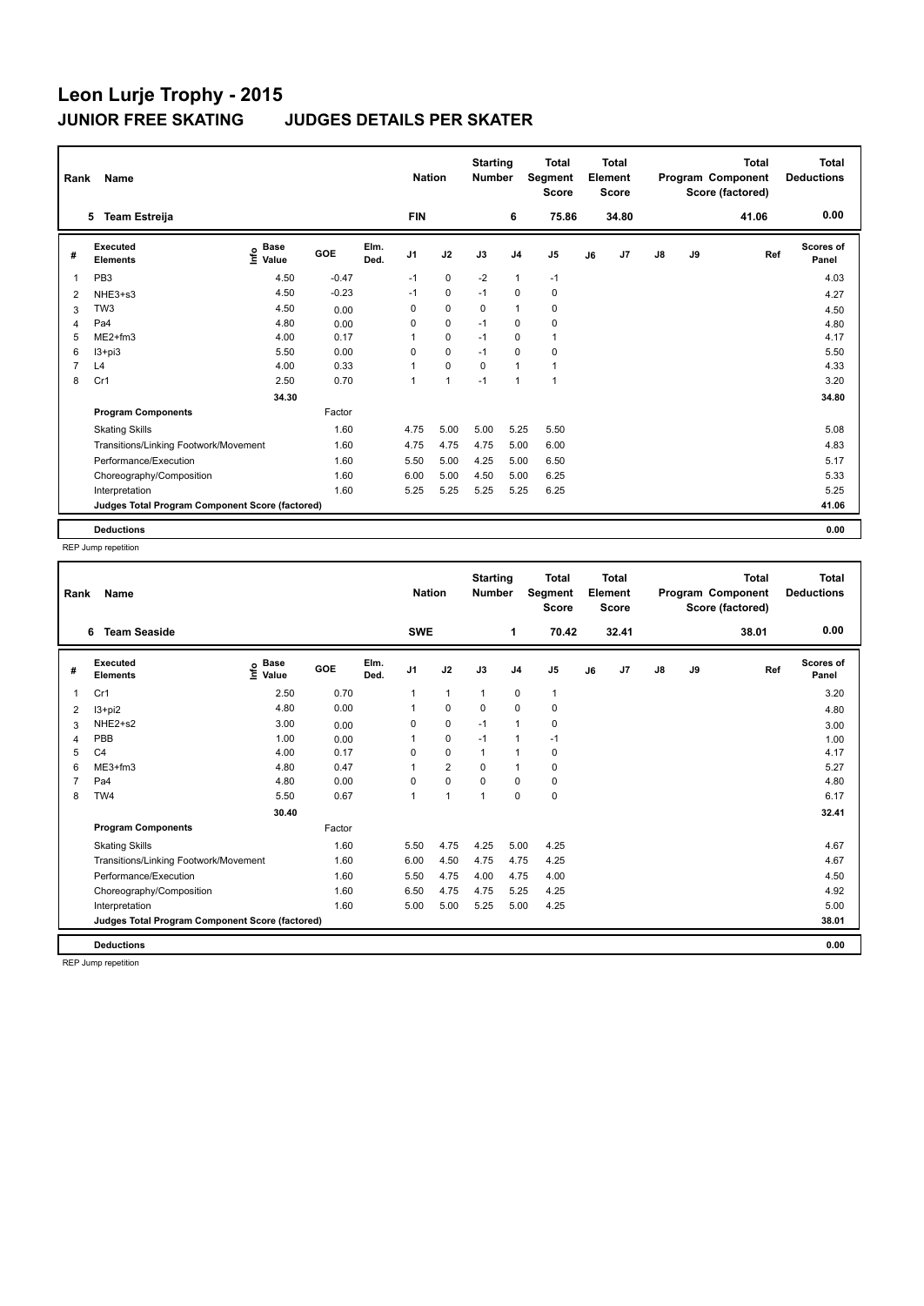| Rank           | Name                                            |                              |         |              | <b>Nation</b>  |                      | <b>Starting</b><br><b>Number</b> |                | <b>Total</b><br>Segment<br><b>Score</b> |    | <b>Total</b><br>Element<br><b>Score</b> |               |    | <b>Total</b><br>Program Component<br>Score (factored) | <b>Total</b><br><b>Deductions</b> |
|----------------|-------------------------------------------------|------------------------------|---------|--------------|----------------|----------------------|----------------------------------|----------------|-----------------------------------------|----|-----------------------------------------|---------------|----|-------------------------------------------------------|-----------------------------------|
|                | <b>Team Estreija</b><br>5                       |                              |         |              | <b>FIN</b>     |                      |                                  | 6              | 75.86                                   |    | 34.80                                   |               |    | 41.06                                                 | 0.00                              |
| #              | Executed<br><b>Elements</b>                     | <b>Base</b><br>١nf٥<br>Value | GOE     | Elm.<br>Ded. | J <sub>1</sub> | J2                   | J3                               | J <sub>4</sub> | J <sub>5</sub>                          | J6 | J <sub>7</sub>                          | $\mathsf{J}8$ | J9 | Ref                                                   | <b>Scores of</b><br>Panel         |
| 1              | PB <sub>3</sub>                                 | 4.50                         | $-0.47$ |              | $-1$           | 0                    | $-2$                             | $\overline{1}$ | $-1$                                    |    |                                         |               |    |                                                       | 4.03                              |
| $\overline{2}$ | NHE3+s3                                         | 4.50                         | $-0.23$ |              | $-1$           | $\mathbf 0$          | $-1$                             | 0              | $\pmb{0}$                               |    |                                         |               |    |                                                       | 4.27                              |
| 3              | TW <sub>3</sub>                                 | 4.50                         | 0.00    |              | 0              | $\mathbf 0$          | 0                                | $\overline{1}$ | 0                                       |    |                                         |               |    |                                                       | 4.50                              |
| 4              | Pa4                                             | 4.80                         | 0.00    |              | 0              | $\mathbf 0$          | $-1$                             | 0              | 0                                       |    |                                         |               |    |                                                       | 4.80                              |
| 5              | $ME2+fm3$                                       | 4.00                         | 0.17    |              | 1              | $\mathbf 0$          | $-1$                             | 0              | $\mathbf{1}$                            |    |                                         |               |    |                                                       | 4.17                              |
| 6              | $13 + pi3$                                      | 5.50                         | 0.00    |              | 0              | $\mathbf 0$          | $-1$                             | $\Omega$       | 0                                       |    |                                         |               |    |                                                       | 5.50                              |
| $\overline{7}$ | L4                                              | 4.00                         | 0.33    |              | 1              | $\mathbf 0$          | $\Omega$                         | $\overline{1}$ | $\overline{1}$                          |    |                                         |               |    |                                                       | 4.33                              |
| 8              | Cr1                                             | 2.50                         | 0.70    |              | $\overline{1}$ | $\blacktriangleleft$ | $-1$                             | $\overline{1}$ | $\overline{1}$                          |    |                                         |               |    |                                                       | 3.20                              |
|                |                                                 | 34.30                        |         |              |                |                      |                                  |                |                                         |    |                                         |               |    |                                                       | 34.80                             |
|                | <b>Program Components</b>                       |                              | Factor  |              |                |                      |                                  |                |                                         |    |                                         |               |    |                                                       |                                   |
|                | <b>Skating Skills</b>                           |                              | 1.60    |              | 4.75           | 5.00                 | 5.00                             | 5.25           | 5.50                                    |    |                                         |               |    |                                                       | 5.08                              |
|                | Transitions/Linking Footwork/Movement           |                              | 1.60    |              | 4.75           | 4.75                 | 4.75                             | 5.00           | 6.00                                    |    |                                         |               |    |                                                       | 4.83                              |
|                | Performance/Execution                           |                              | 1.60    |              | 5.50           | 5.00                 | 4.25                             | 5.00           | 6.50                                    |    |                                         |               |    |                                                       | 5.17                              |
|                | Choreography/Composition                        |                              | 1.60    |              | 6.00           | 5.00                 | 4.50                             | 5.00           | 6.25                                    |    |                                         |               |    |                                                       | 5.33                              |
|                | Interpretation                                  |                              | 1.60    |              | 5.25           | 5.25                 | 5.25                             | 5.25           | 6.25                                    |    |                                         |               |    |                                                       | 5.25                              |
|                | Judges Total Program Component Score (factored) |                              |         |              |                |                      |                                  |                |                                         |    |                                         |               |    |                                                       | 41.06                             |
|                | <b>Deductions</b>                               |                              |         |              |                |                      |                                  |                |                                         |    |                                         |               |    |                                                       | 0.00                              |

REP Jump repetition

| Rank | <b>Name</b>                                     |                                  |        | <b>Nation</b> |                | <b>Starting</b><br><b>Number</b> |                | <b>Total</b><br>Segment<br><b>Score</b> |                | <b>Total</b><br>Element<br><b>Score</b> |       |               | <b>Total</b><br>Program Component<br>Score (factored) | <b>Total</b><br><b>Deductions</b> |                           |
|------|-------------------------------------------------|----------------------------------|--------|---------------|----------------|----------------------------------|----------------|-----------------------------------------|----------------|-----------------------------------------|-------|---------------|-------------------------------------------------------|-----------------------------------|---------------------------|
|      | <b>Team Seaside</b><br>6                        |                                  |        |               | <b>SWE</b>     |                                  |                | 1                                       | 70.42          |                                         | 32.41 |               |                                                       | 38.01                             | 0.00                      |
| #    | Executed<br><b>Elements</b>                     | <b>Base</b><br>e Base<br>⊆ Value | GOE    | Elm.<br>Ded.  | J <sub>1</sub> | J2                               | J3             | J <sub>4</sub>                          | J <sub>5</sub> | J6                                      | J7    | $\mathsf{J}8$ | J9                                                    | Ref                               | <b>Scores of</b><br>Panel |
| 1    | Cr1                                             | 2.50                             | 0.70   |               | 1              | $\mathbf{1}$                     | $\mathbf{1}$   | $\pmb{0}$                               | $\mathbf{1}$   |                                         |       |               |                                                       |                                   | 3.20                      |
| 2    | $13+pi2$                                        | 4.80                             | 0.00   |               |                | 0                                | 0              | 0                                       | 0              |                                         |       |               |                                                       |                                   | 4.80                      |
| 3    | NHE2+s2                                         | 3.00                             | 0.00   |               | 0              | $\mathbf 0$                      | $-1$           | $\mathbf{1}$                            | 0              |                                         |       |               |                                                       |                                   | 3.00                      |
| 4    | PBB                                             | 1.00                             | 0.00   |               |                | $\pmb{0}$                        | $-1$           | $\mathbf{1}$                            | $-1$           |                                         |       |               |                                                       |                                   | 1.00                      |
| 5    | C <sub>4</sub>                                  | 4.00                             | 0.17   |               | 0              | $\mathbf 0$                      | $\mathbf{1}$   | $\mathbf{1}$                            | 0              |                                         |       |               |                                                       |                                   | 4.17                      |
| 6    | ME3+fm3                                         | 4.80                             | 0.47   |               |                | $\overline{2}$                   | $\Omega$       | $\mathbf 1$                             | 0              |                                         |       |               |                                                       |                                   | 5.27                      |
|      | Pa <sub>4</sub>                                 | 4.80                             | 0.00   |               | 0              | $\mathbf 0$                      | $\Omega$       | 0                                       | 0              |                                         |       |               |                                                       |                                   | 4.80                      |
| 8    | TW4                                             | 5.50                             | 0.67   |               | $\mathbf{1}$   | $\overline{1}$                   | $\overline{1}$ | $\mathbf 0$                             | $\mathbf 0$    |                                         |       |               |                                                       |                                   | 6.17                      |
|      |                                                 | 30.40                            |        |               |                |                                  |                |                                         |                |                                         |       |               |                                                       |                                   | 32.41                     |
|      | <b>Program Components</b>                       |                                  | Factor |               |                |                                  |                |                                         |                |                                         |       |               |                                                       |                                   |                           |
|      | <b>Skating Skills</b>                           |                                  | 1.60   |               | 5.50           | 4.75                             | 4.25           | 5.00                                    | 4.25           |                                         |       |               |                                                       |                                   | 4.67                      |
|      | Transitions/Linking Footwork/Movement           |                                  | 1.60   |               | 6.00           | 4.50                             | 4.75           | 4.75                                    | 4.25           |                                         |       |               |                                                       |                                   | 4.67                      |
|      | Performance/Execution                           |                                  | 1.60   |               | 5.50           | 4.75                             | 4.00           | 4.75                                    | 4.00           |                                         |       |               |                                                       |                                   | 4.50                      |
|      | Choreography/Composition                        |                                  | 1.60   |               | 6.50           | 4.75                             | 4.75           | 5.25                                    | 4.25           |                                         |       |               |                                                       |                                   | 4.92                      |
|      | Interpretation                                  |                                  | 1.60   |               | 5.00           | 5.00                             | 5.25           | 5.00                                    | 4.25           |                                         |       |               |                                                       |                                   | 5.00                      |
|      | Judges Total Program Component Score (factored) |                                  |        |               |                |                                  |                |                                         |                |                                         |       |               |                                                       |                                   | 38.01                     |
|      | <b>Deductions</b>                               |                                  |        |               |                |                                  |                |                                         |                |                                         |       |               |                                                       |                                   | 0.00                      |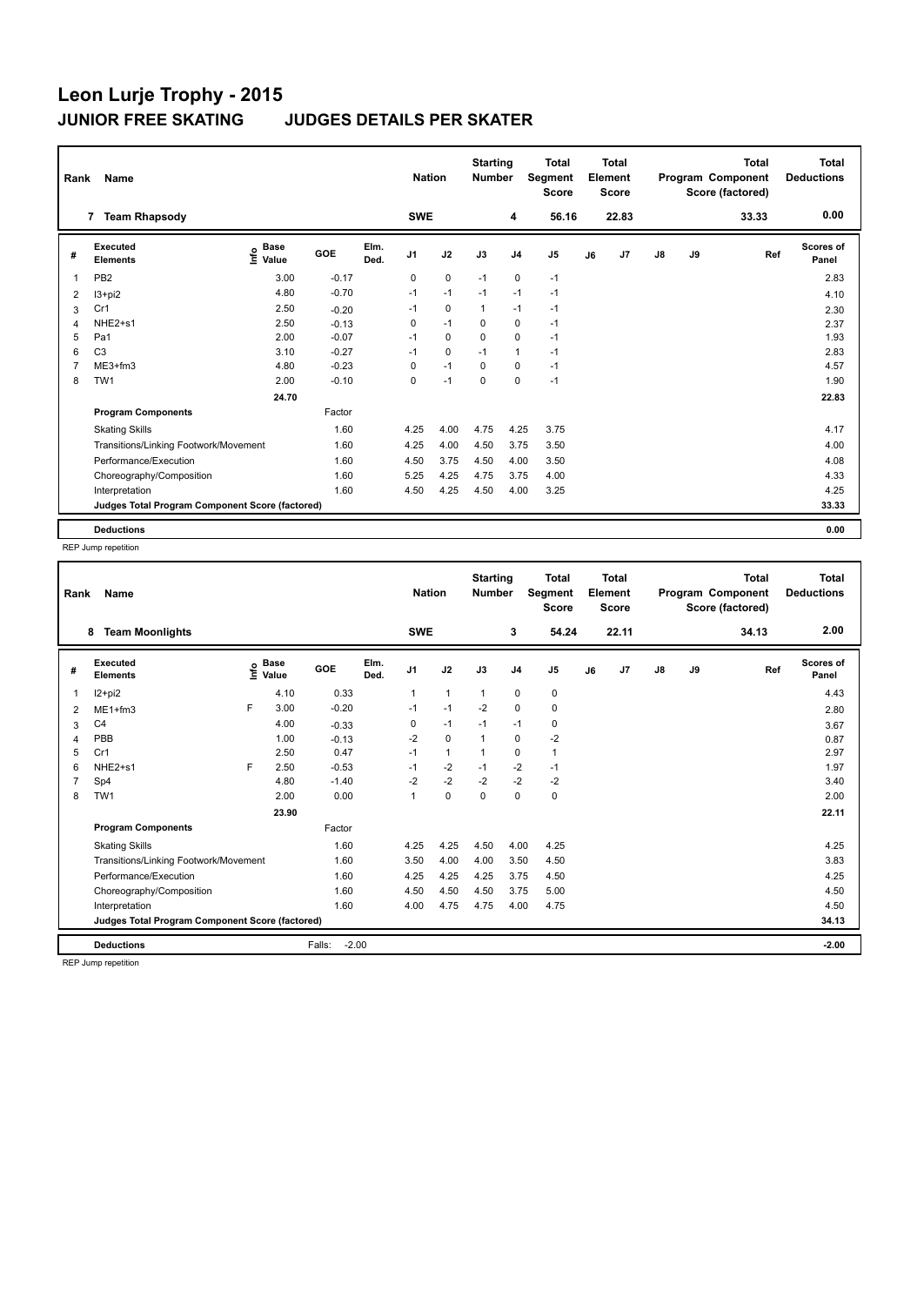| Name<br>Rank   |                                                 |                              |         |              | <b>Nation</b>  |             | <b>Starting</b><br><b>Number</b> |                | <b>Total</b><br>Segment<br><b>Score</b> |    | <b>Total</b><br>Element<br><b>Score</b> |               |    | <b>Total</b><br>Program Component<br>Score (factored) | <b>Total</b><br><b>Deductions</b> |
|----------------|-------------------------------------------------|------------------------------|---------|--------------|----------------|-------------|----------------------------------|----------------|-----------------------------------------|----|-----------------------------------------|---------------|----|-------------------------------------------------------|-----------------------------------|
|                | <b>Team Rhapsody</b><br>$\overline{7}$          |                              |         |              | <b>SWE</b>     |             |                                  | 4              | 56.16                                   |    | 22.83                                   |               |    | 33.33                                                 | 0.00                              |
| #              | Executed<br><b>Elements</b>                     | <b>Base</b><br>١nf٥<br>Value | GOE     | Elm.<br>Ded. | J <sub>1</sub> | J2          | J3                               | J <sub>4</sub> | J <sub>5</sub>                          | J6 | J7                                      | $\mathsf{J}8$ | J9 | Ref                                                   | <b>Scores of</b><br>Panel         |
| $\overline{1}$ | PB <sub>2</sub>                                 | 3.00                         | $-0.17$ |              | $\Omega$       | $\pmb{0}$   | $-1$                             | $\mathbf 0$    | $-1$                                    |    |                                         |               |    |                                                       | 2.83                              |
| 2              | $13 + pi2$                                      | 4.80                         | $-0.70$ |              | $-1$           | $-1$        | $-1$                             | $-1$           | $-1$                                    |    |                                         |               |    |                                                       | 4.10                              |
| 3              | Cr1                                             | 2.50                         | $-0.20$ |              | $-1$           | $\mathbf 0$ | 1                                | $-1$           | $-1$                                    |    |                                         |               |    |                                                       | 2.30                              |
| $\overline{4}$ | NHE2+s1                                         | 2.50                         | $-0.13$ |              | 0              | $-1$        | $\mathbf 0$                      | $\mathbf 0$    | $-1$                                    |    |                                         |               |    |                                                       | 2.37                              |
| 5              | Pa1                                             | 2.00                         | $-0.07$ |              | $-1$           | $\Omega$    | $\Omega$                         | $\Omega$       | $-1$                                    |    |                                         |               |    |                                                       | 1.93                              |
| 6              | C <sub>3</sub>                                  | 3.10                         | $-0.27$ |              | $-1$           | 0           | $-1$                             | $\mathbf{1}$   | $-1$                                    |    |                                         |               |    |                                                       | 2.83                              |
| $\overline{7}$ | ME3+fm3                                         | 4.80                         | $-0.23$ |              | 0              | $-1$        | $\mathbf 0$                      | $\mathbf 0$    | $-1$                                    |    |                                         |               |    |                                                       | 4.57                              |
| 8              | TW <sub>1</sub>                                 | 2.00                         | $-0.10$ |              | 0              | $-1$        | 0                                | 0              | $-1$                                    |    |                                         |               |    |                                                       | 1.90                              |
|                |                                                 | 24.70                        |         |              |                |             |                                  |                |                                         |    |                                         |               |    |                                                       | 22.83                             |
|                | <b>Program Components</b>                       |                              | Factor  |              |                |             |                                  |                |                                         |    |                                         |               |    |                                                       |                                   |
|                | <b>Skating Skills</b>                           |                              | 1.60    |              | 4.25           | 4.00        | 4.75                             | 4.25           | 3.75                                    |    |                                         |               |    |                                                       | 4.17                              |
|                | Transitions/Linking Footwork/Movement           |                              | 1.60    |              | 4.25           | 4.00        | 4.50                             | 3.75           | 3.50                                    |    |                                         |               |    |                                                       | 4.00                              |
|                | Performance/Execution                           |                              | 1.60    |              | 4.50           | 3.75        | 4.50                             | 4.00           | 3.50                                    |    |                                         |               |    |                                                       | 4.08                              |
|                | Choreography/Composition                        |                              | 1.60    |              | 5.25           | 4.25        | 4.75                             | 3.75           | 4.00                                    |    |                                         |               |    |                                                       | 4.33                              |
|                | Interpretation                                  |                              | 1.60    |              | 4.50           | 4.25        | 4.50                             | 4.00           | 3.25                                    |    |                                         |               |    |                                                       | 4.25                              |
|                | Judges Total Program Component Score (factored) |                              |         |              |                |             |                                  |                |                                         |    |                                         |               |    |                                                       | 33.33                             |
|                | <b>Deductions</b>                               |                              |         |              |                |             |                                  |                |                                         |    |                                         |               |    |                                                       | 0.00                              |

REP Jump repetition

| Rank | Name                                            |   |                                  | <b>Nation</b>     |              | <b>Starting</b><br><b>Number</b> |              | <b>Total</b><br>Segment<br><b>Score</b> |                | <b>Total</b><br>Element<br><b>Score</b> |    |       | <b>Total</b><br>Program Component<br>Score (factored) | <b>Total</b><br><b>Deductions</b> |       |                           |
|------|-------------------------------------------------|---|----------------------------------|-------------------|--------------|----------------------------------|--------------|-----------------------------------------|----------------|-----------------------------------------|----|-------|-------------------------------------------------------|-----------------------------------|-------|---------------------------|
|      | <b>Team Moonlights</b><br>8                     |   |                                  |                   |              | <b>SWE</b>                       |              |                                         | 3              | 54.24                                   |    | 22.11 |                                                       |                                   | 34.13 | 2.00                      |
| #    | Executed<br><b>Elements</b>                     |   | <b>Base</b><br>o Base<br>⊆ Value | <b>GOE</b>        | Elm.<br>Ded. | J <sub>1</sub>                   | J2           | J3                                      | J <sub>4</sub> | J <sub>5</sub>                          | J6 | J7    | J8                                                    | J9                                | Ref   | <b>Scores of</b><br>Panel |
|      | I2+pi2                                          |   | 4.10                             | 0.33              |              |                                  | $\mathbf{1}$ | $\mathbf{1}$                            | 0              | 0                                       |    |       |                                                       |                                   |       | 4.43                      |
| 2    | $ME1 + fm3$                                     | F | 3.00                             | $-0.20$           |              | $-1$                             | $-1$         | $-2$                                    | $\mathbf 0$    | 0                                       |    |       |                                                       |                                   |       | 2.80                      |
| 3    | C <sub>4</sub>                                  |   | 4.00                             | $-0.33$           |              | 0                                | $-1$         | $-1$                                    | $-1$           | 0                                       |    |       |                                                       |                                   |       | 3.67                      |
| 4    | PBB                                             |   | 1.00                             | $-0.13$           |              | $-2$                             | $\mathbf 0$  | 1                                       | 0              | $-2$                                    |    |       |                                                       |                                   |       | 0.87                      |
| 5    | Cr1                                             |   | 2.50                             | 0.47              |              | $-1$                             | $\mathbf{1}$ | 1                                       | $\mathbf 0$    | $\mathbf{1}$                            |    |       |                                                       |                                   |       | 2.97                      |
| 6    | NHE2+s1                                         | F | 2.50                             | $-0.53$           |              | $-1$                             | $-2$         | $-1$                                    | $-2$           | $-1$                                    |    |       |                                                       |                                   |       | 1.97                      |
|      | Sp4                                             |   | 4.80                             | $-1.40$           |              | $-2$                             | $-2$         | $-2$                                    | $-2$           | $-2$                                    |    |       |                                                       |                                   |       | 3.40                      |
| 8    | TW <sub>1</sub>                                 |   | 2.00                             | 0.00              |              | 1                                | $\pmb{0}$    | $\mathbf 0$                             | 0              | $\pmb{0}$                               |    |       |                                                       |                                   |       | 2.00                      |
|      |                                                 |   | 23.90                            |                   |              |                                  |              |                                         |                |                                         |    |       |                                                       |                                   |       | 22.11                     |
|      | <b>Program Components</b>                       |   |                                  | Factor            |              |                                  |              |                                         |                |                                         |    |       |                                                       |                                   |       |                           |
|      | <b>Skating Skills</b>                           |   |                                  | 1.60              |              | 4.25                             | 4.25         | 4.50                                    | 4.00           | 4.25                                    |    |       |                                                       |                                   |       | 4.25                      |
|      | Transitions/Linking Footwork/Movement           |   |                                  | 1.60              |              | 3.50                             | 4.00         | 4.00                                    | 3.50           | 4.50                                    |    |       |                                                       |                                   |       | 3.83                      |
|      | Performance/Execution                           |   |                                  | 1.60              |              | 4.25                             | 4.25         | 4.25                                    | 3.75           | 4.50                                    |    |       |                                                       |                                   |       | 4.25                      |
|      | Choreography/Composition                        |   |                                  | 1.60              |              | 4.50                             | 4.50         | 4.50                                    | 3.75           | 5.00                                    |    |       |                                                       |                                   |       | 4.50                      |
|      | Interpretation                                  |   |                                  | 1.60              |              | 4.00                             | 4.75         | 4.75                                    | 4.00           | 4.75                                    |    |       |                                                       |                                   |       | 4.50                      |
|      | Judges Total Program Component Score (factored) |   |                                  |                   |              |                                  |              |                                         |                |                                         |    |       |                                                       |                                   |       | 34.13                     |
|      | <b>Deductions</b>                               |   |                                  | $-2.00$<br>Falls: |              |                                  |              |                                         |                |                                         |    |       |                                                       |                                   |       | $-2.00$                   |